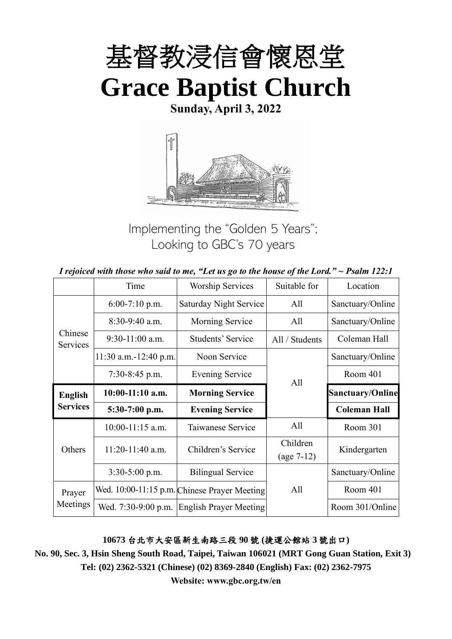

**Sunday, April 3, 2022**



Implementing the "Golden 5 Years"; Looking to GBC's 70 years

| I rejoiced with those who said to me, "Let us go to the house of the Lord." $\sim$ Psalm 122:1 |  |  |
|------------------------------------------------------------------------------------------------|--|--|
|------------------------------------------------------------------------------------------------|--|--|

|                     | Time                    | <b>Worship Services</b>                      | Suitable for   | Location                |  |
|---------------------|-------------------------|----------------------------------------------|----------------|-------------------------|--|
|                     | $6:00-7:10$ p.m.        | <b>Saturday Night Service</b>                | All            | Sanctuary/Online        |  |
|                     | 8:30-9:40 a.m.          | Morning Service                              | All            | Sanctuary/Online        |  |
| Chinese<br>Services | $9:30-11:00$ a.m.       | <b>Students' Service</b>                     | All / Students | Coleman Hall            |  |
|                     | $11:30$ a.m.-12:40 p.m. | Noon Service                                 |                | Sanctuary/Online        |  |
|                     | $7:30-8:45$ p.m.        | <b>Evening Service</b>                       | All            | Room 401                |  |
| <b>English</b>      | $10:00-11:10$ a.m.      | <b>Morning Service</b>                       |                | <b>Sanctuary/Online</b> |  |
| <b>Services</b>     | 5:30-7:00 p.m.          | <b>Evening Service</b>                       |                | <b>Coleman Hall</b>     |  |
|                     | $10:00-11:15$ a.m.      | Taiwanese Service                            | All            | Room 301                |  |
| Others              | $11:20-11:40$ a.m.      | Children's Service                           | Children       | Kindergarten            |  |
|                     |                         |                                              | $(age 7-12)$   |                         |  |
|                     | $3:30-5:00$ p.m.        | <b>Bilingual Service</b>                     |                | Sanctuary/Online        |  |
| Prayer              |                         | Wed. 10:00-11:15 p.m. Chinese Prayer Meeting | All            | Room 401                |  |
| Meetings            | Wed. 7:30-9:00 p.m.     | <b>English Prayer Meeting</b>                |                | Room 301/Online         |  |

#### **10673** 台北市大安區新生南路三段 **90** 號 **(**捷運公館站 **3** 號出口**)**

**No. 90, Sec. 3, Hsin Sheng South Road, Taipei, Taiwan 106021 (MRT Gong Guan Station, Exit 3) Tel: (02) 2362-5321 (Chinese) (02) 8369-2840 (English) Fax: (02) 2362-7975**

**Website: www.gbc.org.tw/en**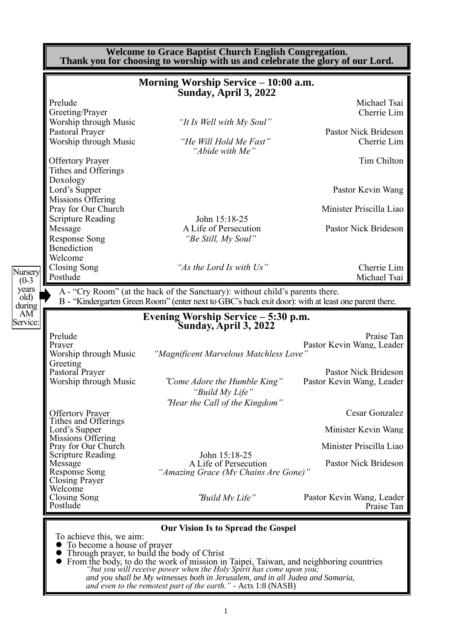|                                                             |                                                                                                                                            | Thank you for choosing to worship with us and celebrate the glory of our Lord. |
|-------------------------------------------------------------|--------------------------------------------------------------------------------------------------------------------------------------------|--------------------------------------------------------------------------------|
|                                                             | Morning Worship Service – 10:00 a.m.<br>Sunday, April 3, 2022                                                                              |                                                                                |
| Prelude<br>Greeting/Prayer                                  |                                                                                                                                            | Michael Tsai<br>Cherrie Lim                                                    |
| Worship through Music<br>Pastoral Prayer                    | "It Is Well with My Soul"                                                                                                                  | Pastor Nick Brideson                                                           |
| Worship through Music                                       | "He Will Hold Me Fast"<br>"Abide with Me"                                                                                                  | Cherrie Lim                                                                    |
| <b>Offertory Prayer</b><br>Tithes and Offerings             |                                                                                                                                            | Tim Chilton                                                                    |
| Doxology<br>Lord's Supper                                   |                                                                                                                                            | Pastor Kevin Wang                                                              |
| Missions Offering<br>Pray for Our Church                    |                                                                                                                                            | Minister Priscilla Liao                                                        |
| <b>Scripture Reading</b><br>Message                         | John 15:18-25<br>A Life of Persecution                                                                                                     | Pastor Nick Brideson                                                           |
| <b>Response Song</b><br>Benediction                         | "Be Still, My Soul"                                                                                                                        |                                                                                |
| Welcome<br><b>Closing Song</b><br>Postlude                  | "As the Lord Is with Us"                                                                                                                   | Cherrie Lim<br>Michael Tsai                                                    |
|                                                             | A - "Cry Room" (at the back of the Sanctuary): without child's parents there.                                                              |                                                                                |
|                                                             | B - "Kindergarten Green Room" (enter next to GBC's back exit door): with at least one parent there.<br>Evening Worship Service – 5:30 p.m. |                                                                                |
|                                                             | Sunday, April 3, 2022                                                                                                                      |                                                                                |
| Prelude<br>Prayer<br>Worship through Music                  | "Magnificent Marvelous Matchless Love"                                                                                                     | Praise Tan<br>Pastor Kevin Wang, Leader                                        |
| Greeting                                                    |                                                                                                                                            |                                                                                |
| <b>Pastoral Prayer</b><br>Worship through Music             | "Come Adore the Humble King"                                                                                                               | Pastor Nick Brideson<br>Pastor Kevin Wang, Leader                              |
|                                                             |                                                                                                                                            |                                                                                |
|                                                             | "Build My Life"<br>"Hear the Call of the Kingdom"                                                                                          |                                                                                |
| <b>Offertory Prayer</b><br><b>Tithes and Offerings</b>      |                                                                                                                                            | Cesar Gonzalez                                                                 |
| Lord's Supper                                               |                                                                                                                                            | Minister Kevin Wang                                                            |
| Missions Offering<br>Pray for Our Church                    |                                                                                                                                            | Minister Priscilla Liao                                                        |
| <b>Scripture Reading</b><br>Message<br><b>Response Song</b> | John 15:18-25<br>A Life of Persecution<br>"Amazing Grace (My Chains Are Gone)"                                                             | Pastor Nick Brideson                                                           |
| <b>Closing Prayer</b><br>Welcome                            |                                                                                                                                            |                                                                                |
| Closing Song<br>Postlude                                    | "Build My Life"                                                                                                                            |                                                                                |
|                                                             |                                                                                                                                            | Pastor Kevin Wang, Leader<br>Praise Tan                                        |
| To achieve this, we aim:<br>To become a house of prayer     | <b>Our Vision Is to Spread the Gospel</b>                                                                                                  |                                                                                |

*"but you will receive power when the Holy Spirit has come upon you; and you shall be My witnesses both in Jerusalem, and in all Judea and Samaria, and even to the remotest part of the earth." -* Acts 1:8 (NASB)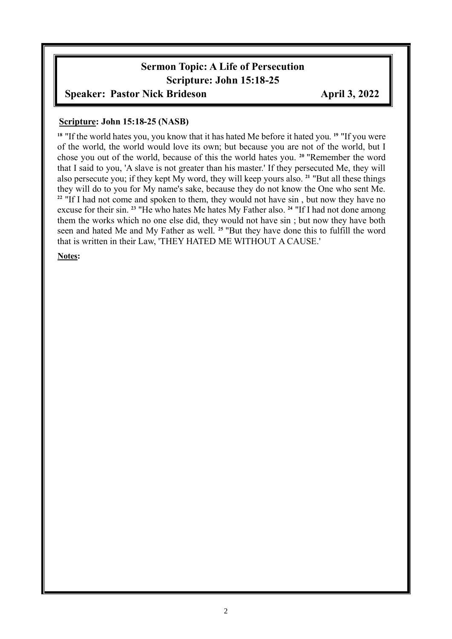# **Sermon Topic: A Life of Persecution Scripture: John 15:18-25**

#### **Speaker: Pastor Nick Brideson April 3, 2022**

#### **Scripture: John 15:18-25 (NASB)**

**<sup>18</sup>** "If the world hates you, you know that it has hated Me before it hated you. **<sup>19</sup>** "If you were of the world, the world would love its own; but because you are not of the world, but I chose you out of the world, because of this the world hates you. **<sup>20</sup>** "Remember the word that I said to you, 'A slave is not greater than his master.' If they persecuted Me, they will also persecute you; if they kept My word, they will keep yours also. **<sup>21</sup>** "But all these things they will do to you for My name's sake, because they do not know the One who sent Me. <sup>22</sup> "If I had not come and spoken to them, they would not have sin, but now they have no excuse for their sin. **<sup>23</sup>** "He who hates Me hates My Father also. **<sup>24</sup>** "If I had not done among them the works which no one else did, they would not have sin ; but now they have both seen and hated Me and My Father as well. **<sup>25</sup>** "But they have done this to fulfill the word that is written in their Law, 'THEY HATED ME WITHOUT A CAUSE.'

#### **Notes:**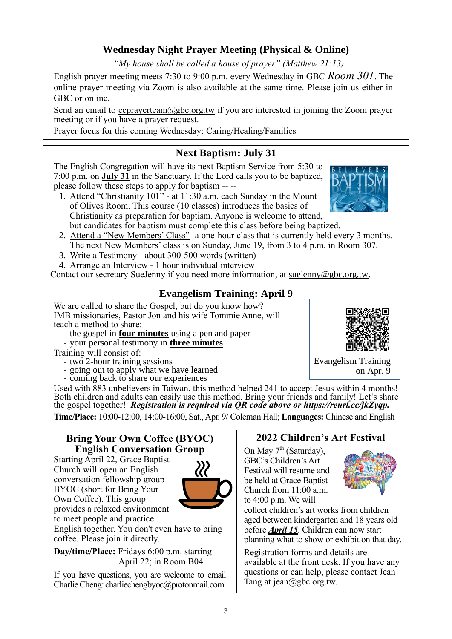# **Wednesday Night Prayer Meeting (Physical & Online)**

*"My house shall be called a house of prayer" (Matthew 21:13)*

English prayer meeting meets 7:30 to 9:00 p.m. every Wednesday in GBC *Room 301*. The online prayer meeting via Zoom is also available at the same time. Please join us either in GBC or online.

Send an email to ecprayerteam $@$ gbc.org.tw if you are interested in joining the Zoom prayer meeting or if you have a prayer request.

Prayer focus for this coming Wednesday: Caring/Healing/Families

# **Next Baptism: July 31**

The English Congregation will have its next Baptism Service from 5:30 to 7:00 p.m. on **July 31** in the Sanctuary. If the Lord calls you to be baptized, please follow these steps to apply for baptism -- --

- 1. Attend "Christianity 101" at 11:30 a.m. each Sunday in the Mount of Olives Room. This course (10 classes) introduces the basics of Christianity as preparation for baptism. Anyone is welcome to attend, but candidates for baptism must complete this class before being baptized.
- 2. Attend a "New Members' Class"- a one-hour class that is currently held every 3 months. The next New Members' class is on Sunday, June 19, from 3 to 4 p.m. in Room 307.
- 3. Write a Testimony about 300-500 words (written)
- 4. Arrange an Interview 1 hour individual interview

Contact our secretary SueJenny if you need more information, at suejenny@gbc.org.tw.

## **Evangelism Training: April 9**

We are called to share the Gospel, but do you know how? IMB missionaries, Pastor Jon and his wife Tommie Anne, will teach a method to share:

- the gospel in **four minutes** using a pen and paper
- your personal testimony in **three minutes**

Training will consist of:

- two 2-hour training sessions
- going out to apply what we have learned
- coming back to share our experiences

Used with 883 unbelievers in Taiwan, this method helped 241 to accept Jesus within 4 months! Both children and adults can easily use this method. Bring your friends and family! Let's share the gospel together! *Registration is required via QR code above or https://reurl.cc/jkZyqp.* **Time/Place:** 10:00-12:00, 14:00-16:00, Sat., Apr. 9/ Coleman Hall; **Languages:** Chinese and English

#### **Bring Your Own Coffee (BYOC) English Conversation Group**

Starting April 22, Grace Baptist Church will open an English conversation fellowship group BYOC (short for Bring Your Own Coffee). This group provides a relaxed environment to meet people and practice



English together. You don't even have to bring coffee. Please join it directly.

**Day/time/Place:** Fridays 6:00 p.m. starting April 22; in Room B04

If you have questions, you are welcome to email Charlie Cheng: charliechengbyoc@protonmail.com.

# **2022 Children's Art Festival**

On May  $7<sup>th</sup>$  (Saturday), GBC's Children's Art Festival will resume and be held at Grace Baptist Church from 11:00 a.m. to 4:00 p.m. We will



collect children's art works from children aged between kindergarten and 18 years old before *April 15*. Children can now start planning what to show or exhibit on that day.

Registration forms and details are available at the front desk. If you have any questions or can help, please contact Jean Tang at [jean@gbc.org.tw.](mailto:jean@gbc.org.tw)





Evangelism Training on Apr. 9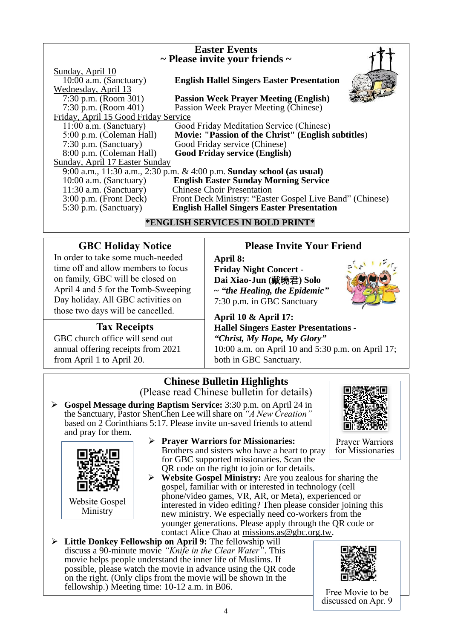| <b>Easter Events</b><br>$\sim$ Please invite your friends $\sim$                             |                                                                                                                                               |  |  |  |
|----------------------------------------------------------------------------------------------|-----------------------------------------------------------------------------------------------------------------------------------------------|--|--|--|
| Sunday, April 10<br>10:00 a.m. (Sanctuary)<br>Wednesday, April 13                            | <b>English Hallel Singers Easter Presentation</b>                                                                                             |  |  |  |
| 7:30 p.m. (Room 301)<br>7:30 p.m. (Room $401$ )                                              | <b>Passion Week Prayer Meeting (English)</b><br>Passion Week Prayer Meeting (Chinese)                                                         |  |  |  |
| Friday, April 15 Good Friday Service<br>$11:00$ a.m. (Sanctuary)<br>5:00 p.m. (Coleman Hall) | Good Friday Meditation Service (Chinese)<br>Movie: "Passion of the Christ" (English subtitles)                                                |  |  |  |
| $7:30$ p.m. (Sanctuary)<br>8:00 p.m. (Coleman Hall)                                          | Good Friday service (Chinese)<br><b>Good Friday service (English)</b>                                                                         |  |  |  |
| Sunday, April 17 Easter Sunday                                                               | 9:00 a.m., 11:30 a.m., 2:30 p.m. & 4:00 p.m. Sunday school (as usual)                                                                         |  |  |  |
| 10:00 a.m. (Sanctuary)<br>$11:30$ a.m. (Sanctuary)<br>$3:00$ p.m. (Front Deck)               | <b>English Easter Sunday Morning Service</b><br><b>Chinese Choir Presentation</b><br>Front Deck Ministry: "Easter Gospel Live Band" (Chinese) |  |  |  |
| 5:30 p.m. (Sanctuary)                                                                        | <b>English Hallel Singers Easter Presentation</b><br>$\lambda$ times that a trivially and not represent the $\lambda$                         |  |  |  |

#### **\*ENGLISH SERVICES IN BOLD PRINT\***

## **GBC Holiday Notice**

In order to take some much-needed time off and allow members to focus on family, GBC will be closed on April 4 and 5 for the Tomb-Sweeping Day holiday. All GBC activities on those two days will be cancelled.

## **Tax Receipts**

GBC church office will send out annual offering receipts from 2021 from April 1 to April 20.

# **Please Invite Your Friend**

**April 8: Friday Night Concert - Dai Xiao-Jun (**戴曉君**) Solo ~** *"the Healing, the Epidemic"* 7:30 p.m. in GBC Sanctuary

**April 10 & April 17:**

**Hallel Singers Easter Presentations -** *"Christ, My Hope, My Glory"* 10:00 a.m. on April 10 and 5:30 p.m. on April 17; both in GBC Sanctuary.

# **Chinese Bulletin Highlights**  (Please read Chinese bulletin for details)

➢ **Gospel Message during Baptism Service:** 3:30 p.m. on April 24 in the Sanctuary, Pastor ShenChen Lee will share on *"A New Creation"*  based on 2 Corinthians 5:17. Please invite un-saved friends to attend and pray for them.



Prayer Warriors for Missionaries



Ministry

- ➢ **Prayer Warriors for Missionaries:**
- Brothers and sisters who have a heart to pray for GBC supported missionaries. Scan the QR code on the right to join or for details.
- ➢ **Website Gospel Ministry:** Are you zealous for sharing the gospel, familiar with or interested in technology (cell phone/video games, VR, AR, or Meta), experienced or interested in video editing? Then please consider joining this new ministry. We especially need co-workers from the younger generations. Please apply through the QR code or contact Alice Chao at [missions.as@gbc.org.tw.](mailto:missions.as@gbc.org.tw)
- ➢ **Little Donkey Fellowship on April 9:** The fellowship will discuss a 90-minute movie *"Knife in the Clear Water"*. This movie helps people understand the inner life of Muslims. If possible, please watch the movie in advance using the QR code on the right. (Only clips from the movie will be shown in the fellowship.) Meeting time: 10-12 a.m. in B06.



Free Movie to be discussed on Apr. 9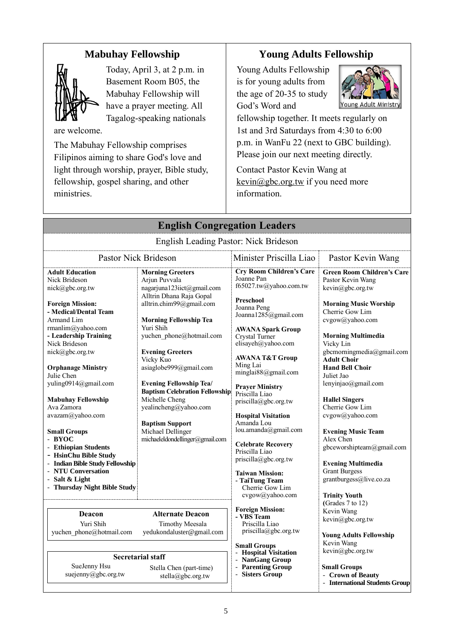# **Mabuhay Fellowship**



Today, April 3, at 2 p.m. in Basement Room B05, the Mabuhay Fellowship will have a prayer meeting. All Tagalog-speaking nationals

are welcome.

The Mabuhay Fellowship comprises Filipinos aiming to share God's love and light through worship, prayer, Bible study, fellowship, gospel sharing, and other ministries.

# **Young Adults Fellowship**

Young Adults Fellowship is for young adults from the age of 20-35 to study God's Word and



fellowship together. It meets regularly on 1st and 3rd Saturdays from 4:30 to 6:00 p.m. in WanFu 22 (next to GBC building). Please join our next meeting directly.

Contact Pastor Kevin Wang at kevin@gbc.org.tw if you need more information.

| <b>English Congregation Leaders</b>                                                                                                                                                                                                                                                                                                                                                                                                                                                                                                           |                                                                                                                                                                                                                                                                                                                                                                                                                                                                                    |                                                                                                                                                                                                                                                                                                                                                                                                                                                                                                                                                                          |                                                                                                                                                                                                                                                                                                                                                                                                                                                                                                                                                                   |  |
|-----------------------------------------------------------------------------------------------------------------------------------------------------------------------------------------------------------------------------------------------------------------------------------------------------------------------------------------------------------------------------------------------------------------------------------------------------------------------------------------------------------------------------------------------|------------------------------------------------------------------------------------------------------------------------------------------------------------------------------------------------------------------------------------------------------------------------------------------------------------------------------------------------------------------------------------------------------------------------------------------------------------------------------------|--------------------------------------------------------------------------------------------------------------------------------------------------------------------------------------------------------------------------------------------------------------------------------------------------------------------------------------------------------------------------------------------------------------------------------------------------------------------------------------------------------------------------------------------------------------------------|-------------------------------------------------------------------------------------------------------------------------------------------------------------------------------------------------------------------------------------------------------------------------------------------------------------------------------------------------------------------------------------------------------------------------------------------------------------------------------------------------------------------------------------------------------------------|--|
|                                                                                                                                                                                                                                                                                                                                                                                                                                                                                                                                               | English Leading Pastor: Nick Brideson                                                                                                                                                                                                                                                                                                                                                                                                                                              |                                                                                                                                                                                                                                                                                                                                                                                                                                                                                                                                                                          |                                                                                                                                                                                                                                                                                                                                                                                                                                                                                                                                                                   |  |
|                                                                                                                                                                                                                                                                                                                                                                                                                                                                                                                                               | <b>Pastor Nick Brideson</b>                                                                                                                                                                                                                                                                                                                                                                                                                                                        | Minister Priscilla Liao                                                                                                                                                                                                                                                                                                                                                                                                                                                                                                                                                  | Pastor Kevin Wang                                                                                                                                                                                                                                                                                                                                                                                                                                                                                                                                                 |  |
| <b>Adult Education</b><br>Nick Brideson<br>nick@gbc.org.tw<br><b>Foreign Mission:</b><br>- Medical/Dental Team<br>Armand Lim<br>rmanlim@yahoo.com<br>- Leadership Training<br>Nick Brideson<br>nick@gbc.org.tw<br><b>Orphanage Ministry</b><br>Julie Chen<br>yuling0914@gmail.com<br><b>Mabuhay Fellowship</b><br>Ava Zamora<br>avazam@yahoo.com<br><b>Small Groups</b><br>- BYOC<br>- Ethiopian Students<br>- HsinChu Bible Study<br>- Indian Bible Study Fellowship<br>- NTU Conversation<br>- Salt & Light<br>- Thursday Night Bible Study | <b>Morning Greeters</b><br>Arjun Puvvala<br>nagarjuna123iict@gmail.com<br>Alltrin Dhana Raja Gopal<br>alltrin.chim99@gmail.com<br><b>Morning Fellowship Tea</b><br>Yuri Shih<br>yuchen phone@hotmail.com<br><b>Evening Greeters</b><br>Vicky Kuo<br>asiaglobe999@gmail.com<br><b>Evening Fellowship Tea/</b><br><b>Baptism Celebration Fellowship</b><br>Michelle Cheng<br>yealincheng@yahoo.com<br><b>Baptism Support</b><br>Michael Dellinger<br>michaeleldondellinger@gmail.com | <b>Cry Room Children's Care</b><br>Joanne Pan<br>f65027.tw@yahoo.com.tw<br><b>Preschool</b><br>Joanna Peng<br>Joanna1285@gmail.com<br><b>AWANA Spark Group</b><br>Crystal Turner<br>elisayeh@yahoo.com<br><b>AWANA T&amp;T Group</b><br>Ming Lai<br>minglai88@gmail.com<br><b>Prayer Ministry</b><br>Priscilla Liao<br>priscilla@gbc.org.tw<br><b>Hospital Visitation</b><br>Amanda Lou<br>lou.amanda@gmail.com<br><b>Celebrate Recovery</b><br>Priscilla Liao<br>priscilla@gbc.org.tw<br><b>Taiwan Mission:</b><br>- TaiTung Team<br>Cherrie Gow Lim<br>cvgow@yahoo.com | <b>Green Room Children's Care</b><br>Pastor Kevin Wang<br>$k$ evin $@$ gbc.org.tw<br><b>Morning Music Worship</b><br>Cherrie Gow Lim<br>cvgow@yahoo.com<br><b>Morning Multimedia</b><br>Vicky Lin<br>gbcmorningmedia@gmail.com<br><b>Adult Choir</b><br><b>Hand Bell Choir</b><br>Juliet Jao<br>lenyinjao@gmail.com<br><b>Hallel Singers</b><br>Cherrie Gow Lim<br>cvgow@yahoo.com<br><b>Evening Music Team</b><br>Alex Chen<br>gbceworshipteam@gmail.com<br><b>Evening Multimedia</b><br><b>Grant Burgess</b><br>grantburgess@live.co.za<br><b>Trinity Youth</b> |  |
| Deacon<br>Yuri Shih<br>yuchen phone@hotmail.com                                                                                                                                                                                                                                                                                                                                                                                                                                                                                               | <b>Alternate Deacon</b><br><b>Timothy Meesala</b><br>yedukondaluster@gmail.com                                                                                                                                                                                                                                                                                                                                                                                                     | <b>Foreign Mission:</b><br>- VBS Team<br>Priscilla Liao<br>$priscilla(\partial gbc.org.tw)$                                                                                                                                                                                                                                                                                                                                                                                                                                                                              | (Grades 7 to 12)<br>Kevin Wang<br>kevin@gbc.org.tw<br><b>Young Adults Fellowship</b>                                                                                                                                                                                                                                                                                                                                                                                                                                                                              |  |
| SueJenny Hsu<br>suejenny@gbc.org.tw                                                                                                                                                                                                                                                                                                                                                                                                                                                                                                           | <b>Secretarial staff</b><br>Stella Chen (part-time)<br>stella@gbc.org.tw                                                                                                                                                                                                                                                                                                                                                                                                           | <b>Small Groups</b><br>- Hospital Visitation<br>- NanGang Group<br>- Parenting Group<br>- Sisters Group                                                                                                                                                                                                                                                                                                                                                                                                                                                                  | Kevin Wang<br>kevin@gbc.org.tw<br><b>Small Groups</b><br>- Crown of Beauty<br>- International Students Group                                                                                                                                                                                                                                                                                                                                                                                                                                                      |  |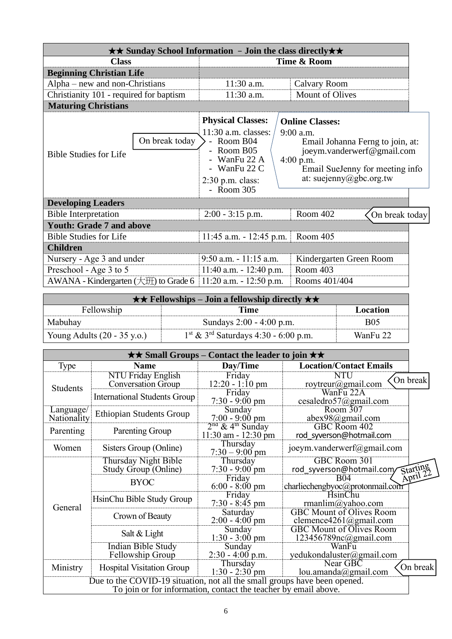| $\star\star$ Sunday School Information - Join the class directly $\star\star$ |                |                                                                                                                                                     |  |                                                                                                                                                                                      |  |
|-------------------------------------------------------------------------------|----------------|-----------------------------------------------------------------------------------------------------------------------------------------------------|--|--------------------------------------------------------------------------------------------------------------------------------------------------------------------------------------|--|
| <b>Class</b>                                                                  |                | Time & Room                                                                                                                                         |  |                                                                                                                                                                                      |  |
| <b>Beginning Christian Life</b>                                               |                |                                                                                                                                                     |  |                                                                                                                                                                                      |  |
| Alpha – new and non-Christians                                                |                | 11:30 a.m.                                                                                                                                          |  | <b>Calvary Room</b>                                                                                                                                                                  |  |
| Christianity 101 - required for baptism                                       |                | 11:30 a.m.                                                                                                                                          |  | <b>Mount of Olives</b>                                                                                                                                                               |  |
| <b>Maturing Christians</b>                                                    |                |                                                                                                                                                     |  |                                                                                                                                                                                      |  |
| <b>Bible Studies for Life</b>                                                 | On break today | <b>Physical Classes:</b><br>$11:30$ a.m. classes:<br>- Room B04<br>- Room $B05$<br>- WanFu 22 A<br>- WanFu 22 C<br>$2:30$ p.m. class:<br>- Room 305 |  | <b>Online Classes:</b><br>$9:00$ a.m.<br>Email Johanna Ferng to join, at:<br>joeym.vanderwerf@gmail.com<br>$4:00$ p.m.<br>Email SueJenny for meeting info<br>at: suejenny@gbc.org.tw |  |
| <b>Developing Leaders</b>                                                     |                |                                                                                                                                                     |  |                                                                                                                                                                                      |  |
| <b>Bible Interpretation</b>                                                   |                | $2:00 - 3:15$ p.m.                                                                                                                                  |  | Room 402<br>On break today                                                                                                                                                           |  |
| <b>Youth: Grade 7 and above</b>                                               |                |                                                                                                                                                     |  |                                                                                                                                                                                      |  |
| <b>Bible Studies for Life</b>                                                 |                | $11:45$ a.m. $-12:45$ p.m.                                                                                                                          |  | Room 405                                                                                                                                                                             |  |
| <b>Children</b>                                                               |                |                                                                                                                                                     |  |                                                                                                                                                                                      |  |
| Nursery - Age 3 and under                                                     |                | $9:50$ a.m. $-11:15$ a.m.                                                                                                                           |  | Kindergarten Green Room                                                                                                                                                              |  |
| Preschool - Age 3 to 5                                                        |                | 11:40 a.m. $- 12:40$ p.m.                                                                                                                           |  | Room 403                                                                                                                                                                             |  |
| AWANA - Kindergarten $(\pm 1)$ to Grade 6                                     |                | $11:20$ a.m. $-12:50$ p.m.                                                                                                                          |  | Rooms 401/404                                                                                                                                                                        |  |

| $\star \star$ Fellowships – Join a fellowship directly $\star \star$ |                                                              |            |  |
|----------------------------------------------------------------------|--------------------------------------------------------------|------------|--|
| Fellowship                                                           | Time                                                         | Location   |  |
| Mabuhay                                                              | Sundays 2:00 - 4:00 p.m.                                     | <b>B05</b> |  |
| Young Adults $(20 - 35 \text{ y.o.})$                                | $1^{\text{st}}$ & 3 <sup>rd</sup> Saturdays 4:30 - 6:00 p.m. | WanFu 22   |  |

| $\star\star$ Small Groups – Contact the leader to join $\star\star$                                                                          |                                                        |                                                           |                                                           |                      |
|----------------------------------------------------------------------------------------------------------------------------------------------|--------------------------------------------------------|-----------------------------------------------------------|-----------------------------------------------------------|----------------------|
| Type                                                                                                                                         | <b>Name</b>                                            | Day/Time                                                  | <b>Location/Contact Emails</b>                            |                      |
| <b>Students</b>                                                                                                                              | <b>NTU Friday English</b><br><b>Conversation Group</b> | Friday<br>$12:20 - 1:10$ pm                               | NTU<br>roytreur@gmail.com                                 | On break             |
|                                                                                                                                              | <b>International Students Group</b>                    | Friday<br>$7:30 - 9:00$ pm                                | WanFu 22A<br>cesaledro57@gmail.com                        |                      |
| Language/<br>Nationality                                                                                                                     | <b>Ethiopian Students Group</b>                        | Sunday<br>$7:00 - 9:00 \text{ pm}$                        | Room 307<br>abex98@gmail.com                              |                      |
| Parenting                                                                                                                                    | Parenting Group                                        | $2nd$ & 4 <sup>th</sup> Sunday<br>$11:30$ am - $12:30$ pm | GBC Room 402<br>rod syverson@hotmail.com                  |                      |
| Women                                                                                                                                        | Sisters Group (Online)                                 | Thursday<br>$7:30 - 9:00$ pm                              | joeym.vanderwerf@gmail.com                                |                      |
|                                                                                                                                              | Thursday Night Bible<br>Study Group (Online)           | Thursday<br>$7:30 - 9:00$ pm                              | GBC Room 301<br>rod syverson@hotmail.com/                 | Starting<br>April 22 |
|                                                                                                                                              | <b>BYOC</b>                                            | Friday<br>$6:00 - 8:00 \text{ pm}$                        | B04<br>charliechengbyoc@protonmail.com                    |                      |
| General                                                                                                                                      | HsinChu Bible Study Group                              | Friday<br>$7:30 - 8:45$ pm                                | <b>HsinChu</b><br>rmanlim@yahoo.com                       |                      |
|                                                                                                                                              | Crown of Beauty                                        | Saturday<br>$2:00 - 4:00$ pm                              | <b>GBC Mount of Olives Room</b><br>clemence4261@gmail.com |                      |
|                                                                                                                                              | Salt & Light                                           | Sunday<br>$1:30 - 3:00$ pm                                | <b>GBC Mount of Olives Room</b><br>123456789nc@gmail.com  |                      |
|                                                                                                                                              | <b>Indian Bible Study</b><br>Fellowship Group          | Sunday<br>$2:30 - 4:00$ p.m.                              | WanFu<br>yedukondaluster@gmail.com                        |                      |
| Ministry                                                                                                                                     | <b>Hospital Visitation Group</b>                       | Thursday<br>$1:30 - 2:30$ pm                              | Near GBC<br>lou.amanda@gmail.com                          | On break             |
| Due to the COVID-19 situation, not all the small groups have been opened.<br>To join or for information, contact the teacher by email above. |                                                        |                                                           |                                                           |                      |